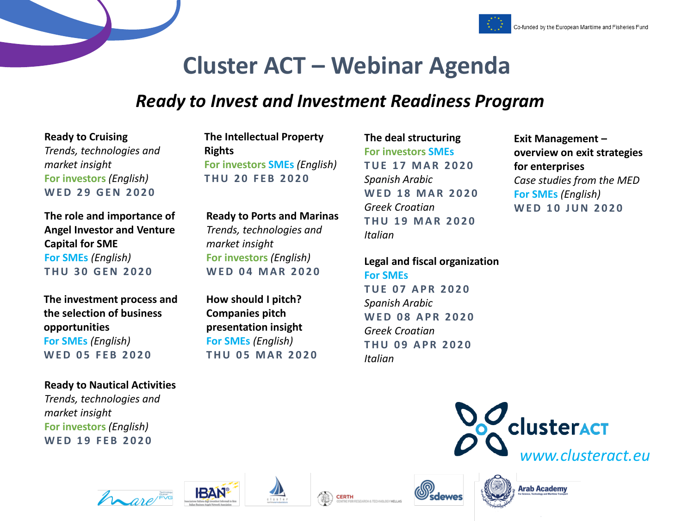



## **Cluster ACT – Webinar Agenda**

### *Ready to Invest and Investment Readiness Program*

**Ready to Cruising**  *Trends, technologies and market insight*  **For investors** *(English)* **W E D 2 9 G E N 2 0 2 0**

**The role and importance of Angel Investor and Venture Capital for SME For SMEs** *(English)* **T H U 3 0 G E N 2 0 2 0**

**The investment process and the selection of business opportunities For SMEs** *(English)* **WFD 05 FFB 2020** 

#### **Ready to Nautical Activities**

*Trends, technologies and market insight*  **For investors** *(English)* **WED 19 FEB 2020** 

**The Intellectual Property Rights For investors SMEs** *(English)* **T H U 2 0 F E B 2 0 2 0**

**Ready to Ports and Marinas** *Trends, technologies and market insight*  **For investors** *(English)* **W E D 0 4 M A R 2 0 2 0**

**How should I pitch? Companies pitch presentation insight For SMEs** *(English)* **T H U 0 5 M A R 2 0 2 0** **The deal structuring For investors SMEs T U E 1 7 M A R 2 0 2 0**  *Spanish Arabic* **W E D 1 8 M A R 2 0 2 0** *Greek Croatian* **T H U 1 9 M A R 2 0 2 0** *Italian*

**Legal and fiscal organization For SMEs T U E 0 7 A P R 2 0 2 0**  *Spanish Arabic* **WFD 08 APR 2020** *Greek Croatian* **THU 09 APR 2020** *Italian*

**Exit Management – overview on exit strategies for enterprises** *Case studies from the MED* **For SMEs** *(English)* **WED 10 JUN 2020** 













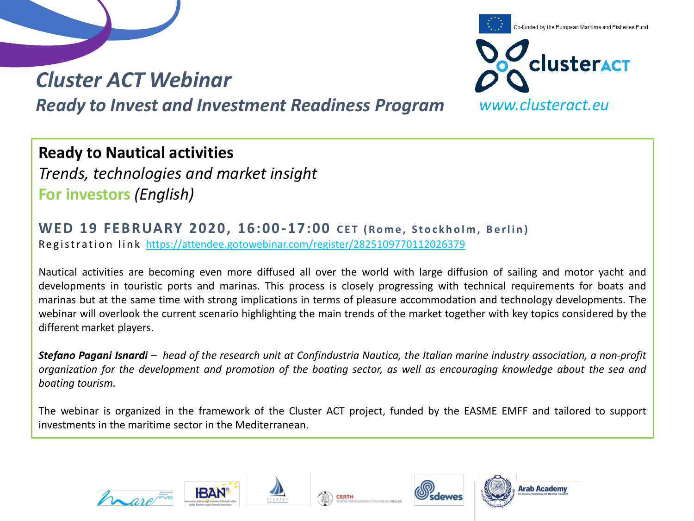



#### **Ready to Nautical activities**

*Trends, technologies and market insight*  **For investors** *(English)*

**WED 19 FEBRUARY 2020, 16:00-17:00 CET (Rome, Stockholm, Berlin)** Registration link <https://attendee.gotowebinar.com/register/2825109770112026379>

Nautical activities are becoming even more diffused all over the world with large diffusion of sailing and motor yacht and developments in touristic ports and marinas. This process is closely progressing with technical requirements for boats and marinas but at the same time with strong implications in terms of pleasure accommodation and technology developments. The webinar will overlook the current scenario highlighting the main trends of the market together with key topics considered by the different market players.

Stefano Pagani Isnardi - head of the research unit at Confindustria Nautica, the Italian marine industry association, a non-profit organization for the development and promotion of the boating sector, as well as encouraging knowledge about the sea and *boating tourism.*

The webinar is organized in the framework of the Cluster ACT project, funded by the EASME EMFF and tailored to support investments in the maritime sector in the Mediterranean.









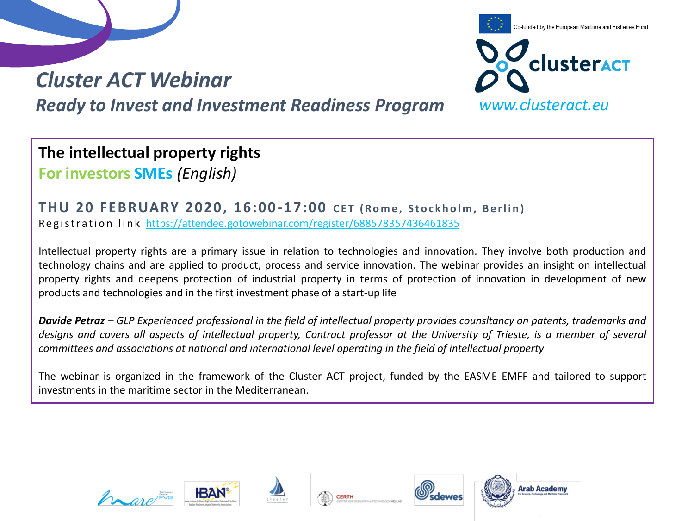



**The intellectual property rights For investors SMEs** *(English)*

**THU 20 FEBRUARY 2020, 16:00-17:00 CET (Rome, Stockholm, Berlin)** Registration link <https://attendee.gotowebinar.com/register/688578357436461835>

Intellectual property rights are a primary issue in relation to technologies and innovation. They involve both production and technology chains and are applied to product, process and service innovation. The webinar provides an insight on intellectual property rights and deepens protection of industrial property in terms of protection of innovation in development of new products and technologies and in the first investment phase of a start-up life

Davide Petraz - GLP Experienced professional in the field of intellectual property provides counsitancy on patents, trademarks and designs and covers all aspects of intellectual property, Contract professor at the University of Trieste, is a member of several *committees and associations at national and international level operating in the field of intellectual property*

The webinar is organized in the framework of the Cluster ACT project, funded by the EASME EMFF and tailored to support investments in the maritime sector in the Mediterranean.









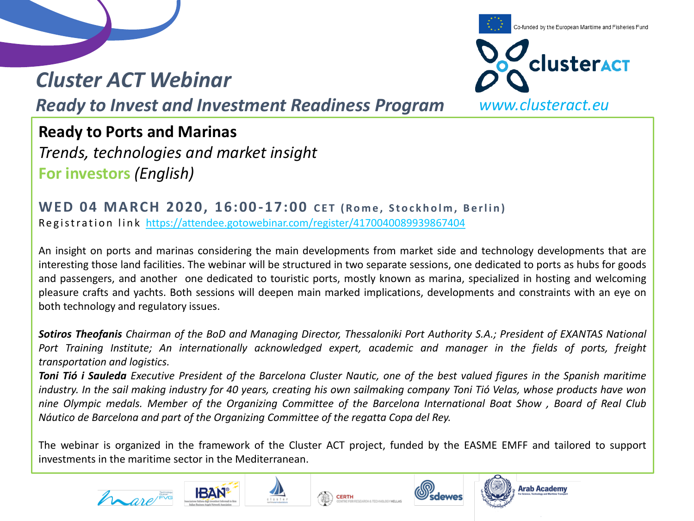### *Cluster ACT Webinar*

Co-funded by the European Maritime and Fisheries Fund **clusteract** *www.clusteract.eu*

*Ready to Invest and Investment Readiness Program*

**Ready to Ports and Marinas** 

*Trends, technologies and market insight*  **For investors** *(English)*

**WED 04 MARCH 2020, 16:00-17:00 CET (Rome, Stockholm, Berlin)** Registration link <https://attendee.gotowebinar.com/register/4170040089939867404>

An insight on ports and marinas considering the main developments from market side and technology developments that are interesting those land facilities. The webinar will be structured in two separate sessions, one dedicated to ports as hubs for goods and passengers, and another one dedicated to touristic ports, mostly known as marina, specialized in hosting and welcoming pleasure crafts and yachts. Both sessions will deepen main marked implications, developments and constraints with an eye on both technology and regulatory issues.

Sotiros Theofanis Chairman of the BoD and Managing Director, Thessaloniki Port Authority S.A.; President of EXANTAS National Port Training Institute; An internationally acknowledged expert, academic and manager in the fields of ports, freight *transportation and logistics.*

Toni Tió i Sauleda Executive President of the Barcelona Cluster Nautic, one of the best valued figures in the Spanish maritime industry. In the sail making industry for 40 years, creating his own sailmaking company Toni Tió Velas, whose products have won nine Olympic medals. Member of the Organizing Committee of the Barcelona International Boat Show, Board of Real Club *Náutico de Barcelona and part of the Organizing Committee of the regatta Copa del Rey.*

The webinar is organized in the framework of the Cluster ACT project, funded by the EASME EMFF and tailored to support investments in the maritime sector in the Mediterranean.